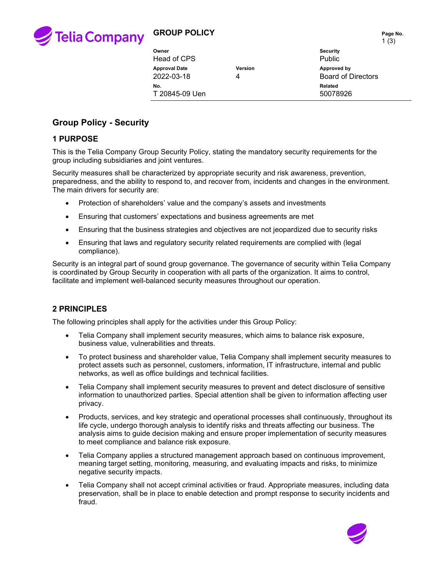

# **GROUP POLICY** Page No.

|                      |         | 1(3)                      |
|----------------------|---------|---------------------------|
| Owner                |         | <b>Security</b>           |
| Head of CPS          |         | <b>Public</b>             |
| <b>Approval Date</b> | Version | Approved by               |
| 2022-03-18           |         | <b>Board of Directors</b> |
| No.                  |         | Related                   |
| T 20845-09 Uen       |         | 50078926                  |

## **Group Policy - Security**

### **1 PURPOSE**

This is the Telia Company Group Security Policy, stating the mandatory security requirements for the group including subsidiaries and joint ventures.

Security measures shall be characterized by appropriate security and risk awareness, prevention, preparedness, and the ability to respond to, and recover from, incidents and changes in the environment. The main drivers for security are:

- Protection of shareholders' value and the company's assets and investments
- Ensuring that customers' expectations and business agreements are met
- Ensuring that the business strategies and objectives are not jeopardized due to security risks
- Ensuring that laws and regulatory security related requirements are complied with (legal compliance).

Security is an integral part of sound group governance. The governance of security within Telia Company is coordinated by Group Security in cooperation with all parts of the organization. It aims to control, facilitate and implement well-balanced security measures throughout our operation.

## **2 PRINCIPLES**

The following principles shall apply for the activities under this Group Policy:

- Telia Company shall implement security measures, which aims to balance risk exposure, business value, vulnerabilities and threats.
- To protect business and shareholder value, Telia Company shall implement security measures to protect assets such as personnel, customers, information, IT infrastructure, internal and public networks, as well as office buildings and technical facilities.
- Telia Company shall implement security measures to prevent and detect disclosure of sensitive information to unauthorized parties. Special attention shall be given to information affecting user privacy.
- Products, services, and key strategic and operational processes shall continuously, throughout its life cycle, undergo thorough analysis to identify risks and threats affecting our business. The analysis aims to guide decision making and ensure proper implementation of security measures to meet compliance and balance risk exposure.
- Telia Company applies a structured management approach based on continuous improvement, meaning target setting, monitoring, measuring, and evaluating impacts and risks, to minimize negative security impacts.
- Telia Company shall not accept criminal activities or fraud. Appropriate measures, including data preservation, shall be in place to enable detection and prompt response to security incidents and fraud.

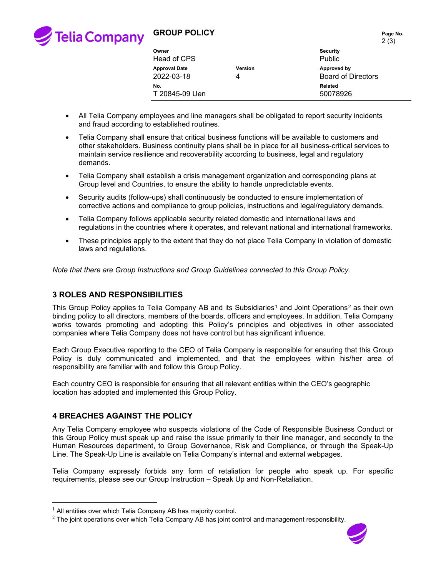

# **GROUP POLICY** Page No.

|                      |                | <b>Z</b> (3)              |
|----------------------|----------------|---------------------------|
| Owner                |                | <b>Security</b>           |
| Head of CPS          |                | Public                    |
| <b>Approval Date</b> | <b>Version</b> | Approved by               |
| 2022-03-18           | 4              | <b>Board of Directors</b> |
| No.                  |                | Related                   |
| T 20845-09 Uen       |                | 50078926                  |

- All Telia Company employees and line managers shall be obligated to report security incidents and fraud according to established routines.
- Telia Company shall ensure that critical business functions will be available to customers and other stakeholders. Business continuity plans shall be in place for all business-critical services to maintain service resilience and recoverability according to business, legal and regulatory demands.
- Telia Company shall establish a crisis management organization and corresponding plans at Group level and Countries, to ensure the ability to handle unpredictable events.
- Security audits (follow-ups) shall continuously be conducted to ensure implementation of corrective actions and compliance to group policies, instructions and legal/regulatory demands.
- Telia Company follows applicable security related domestic and international laws and regulations in the countries where it operates, and relevant national and international frameworks.
- These principles apply to the extent that they do not place Telia Company in violation of domestic laws and regulations.

*Note that there are Group Instructions and Group Guidelines connected to this Group Policy.* 

## **3 ROLES AND RESPONSIBILITIES**

This Group Policy applies to Telia Company AB and its Subsidiaries<sup>[1](#page-1-0)</sup> and Joint Operations<sup>[2](#page-1-1)</sup> as their own binding policy to all directors, members of the boards, officers and employees. In addition, Telia Company works towards promoting and adopting this Policy's principles and objectives in other associated companies where Telia Company does not have control but has significant influence.

Each Group Executive reporting to the CEO of Telia Company is responsible for ensuring that this Group Policy is duly communicated and implemented, and that the employees within his/her area of responsibility are familiar with and follow this Group Policy.

Each country CEO is responsible for ensuring that all relevant entities within the CEO's geographic location has adopted and implemented this Group Policy.

#### **4 BREACHES AGAINST THE POLICY**

Any Telia Company employee who suspects violations of the Code of Responsible Business Conduct or this Group Policy must speak up and raise the issue primarily to their line manager, and secondly to the Human Resources department, to Group Governance, Risk and Compliance, or through the Speak-Up Line. The Speak-Up Line is available on Telia Company's internal and external webpages.

Telia Company expressly forbids any form of retaliation for people who speak up. For specific requirements, please see our Group Instruction – Speak Up and Non-Retaliation.

<span id="page-1-1"></span> $2$  The joint operations over which Telia Company AB has joint control and management responsibility.



2 (3)

<span id="page-1-0"></span> $<sup>1</sup>$  All entities over which Telia Company AB has majority control.</sup>